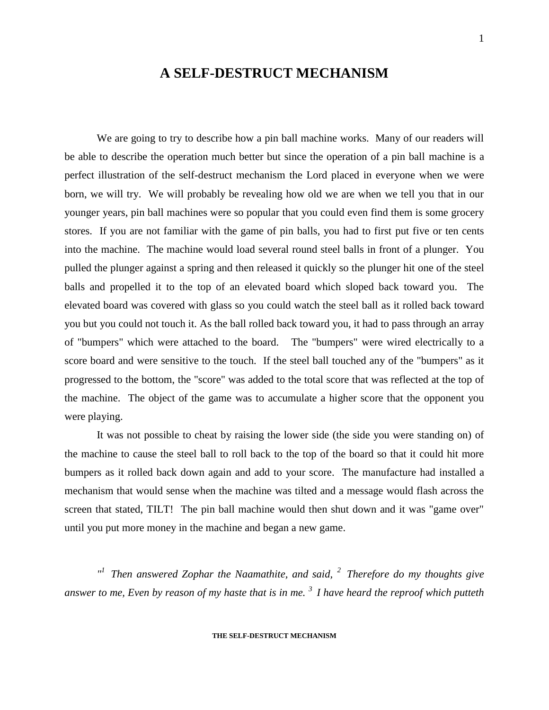# **A SELF-DESTRUCT MECHANISM**

We are going to try to describe how a pin ball machine works. Many of our readers will be able to describe the operation much better but since the operation of a pin ball machine is a perfect illustration of the self-destruct mechanism the Lord placed in everyone when we were born, we will try. We will probably be revealing how old we are when we tell you that in our younger years, pin ball machines were so popular that you could even find them is some grocery stores. If you are not familiar with the game of pin balls, you had to first put five or ten cents into the machine. The machine would load several round steel balls in front of a plunger. You pulled the plunger against a spring and then released it quickly so the plunger hit one of the steel balls and propelled it to the top of an elevated board which sloped back toward you. The elevated board was covered with glass so you could watch the steel ball as it rolled back toward you but you could not touch it. As the ball rolled back toward you, it had to pass through an array of "bumpers" which were attached to the board. The "bumpers" were wired electrically to a score board and were sensitive to the touch. If the steel ball touched any of the "bumpers" as it progressed to the bottom, the "score" was added to the total score that was reflected at the top of the machine. The object of the game was to accumulate a higher score that the opponent you were playing.

It was not possible to cheat by raising the lower side (the side you were standing on) of the machine to cause the steel ball to roll back to the top of the board so that it could hit more bumpers as it rolled back down again and add to your score. The manufacture had installed a mechanism that would sense when the machine was tilted and a message would flash across the screen that stated, TILT! The pin ball machine would then shut down and it was "game over" until you put more money in the machine and began a new game.

<sup>*n*</sup> Then answered Zophar the Naamathite, and said, <sup>2</sup> Therefore do my thoughts give *answer to me, Even by reason of my haste that is in me. <sup>3</sup>I have heard the reproof which putteth*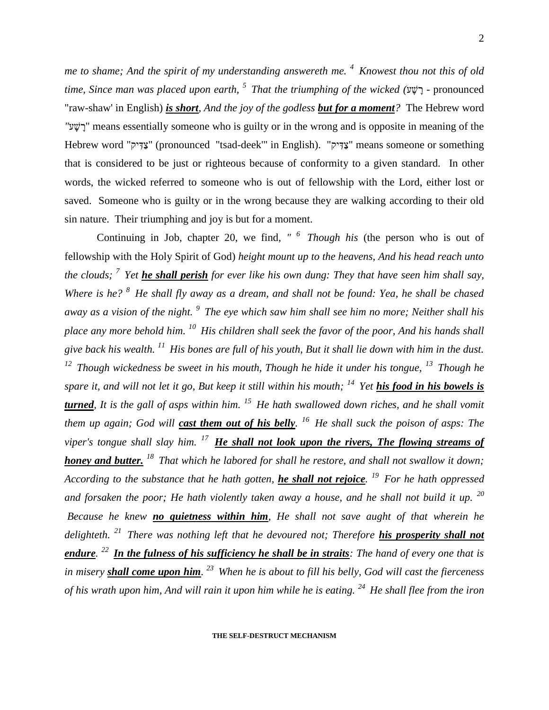*me to shame; And the spirit of my understanding answereth me. <sup>4</sup>Knowest thou not this of old time, Since man was placed upon earth, <sup>5</sup>That the triumphing of the wicked (* - pronounced "raw-shaw' in English) *is short, And the joy of the godless but for a moment?* The Hebrew word *"* " means essentially someone who is guilty or in the wrong and is opposite in meaning of the Hebrew word "צַדִּיק" (pronounced "tsad-deek'" in English). "צַדִּיק" means someone or something that is considered to be just or righteous because of conformity to a given standard. In other words, the wicked referred to someone who is out of fellowship with the Lord, either lost or saved. Someone who is guilty or in the wrong because they are walking according to their old sin nature. Their triumphing and joy is but for a moment.

Continuing in Job, chapter 20, we find*, " <sup>6</sup>Though his* (the person who is out of fellowship with the Holy Spirit of God) *height mount up to the heavens, And his head reach unto the clouds; <sup>7</sup>Yet he shall perish for ever like his own dung: They that have seen him shall say, Where is he? <sup>8</sup>He shall fly away as a dream, and shall not be found: Yea, he shall be chased away as a vision of the night. <sup>9</sup>The eye which saw him shall see him no more; Neither shall his place any more behold him. <sup>10</sup>His children shall seek the favor of the poor, And his hands shall give back his wealth. <sup>11</sup>His bones are full of his youth, But it shall lie down with him in the dust. <sup>12</sup>Though wickedness be sweet in his mouth, Though he hide it under his tongue, <sup>13</sup>Though he spare it, and will not let it go, But keep it still within his mouth; <sup>14</sup>Yet his food in his bowels is turned, It is the gall of asps within him. <sup>15</sup>He hath swallowed down riches, and he shall vomit them up again; God will cast them out of his belly. <sup>16</sup>He shall suck the poison of asps: The viper's tongue shall slay him. <sup>17</sup>He shall not look upon the rivers, The flowing streams of honey and butter. <sup>18</sup>That which he labored for shall he restore, and shall not swallow it down; According to the substance that he hath gotten, he shall not rejoice. <sup>19</sup>For he hath oppressed and forsaken the poor; He hath violently taken away a house, and he shall not build it up. <sup>20</sup> Because he knew no quietness within him, He shall not save aught of that wherein he delighteth. <sup>21</sup>There was nothing left that he devoured not; Therefore his prosperity shall not endure. <sup>22</sup>In the fulness of his sufficiency he shall be in straits: The hand of every one that is in misery shall come upon him. <sup>23</sup>When he is about to fill his belly, God will cast the fierceness of his wrath upon him, And will rain it upon him while he is eating. <sup>24</sup>He shall flee from the iron* 

**THE SELF-DESTRUCT MECHANISM**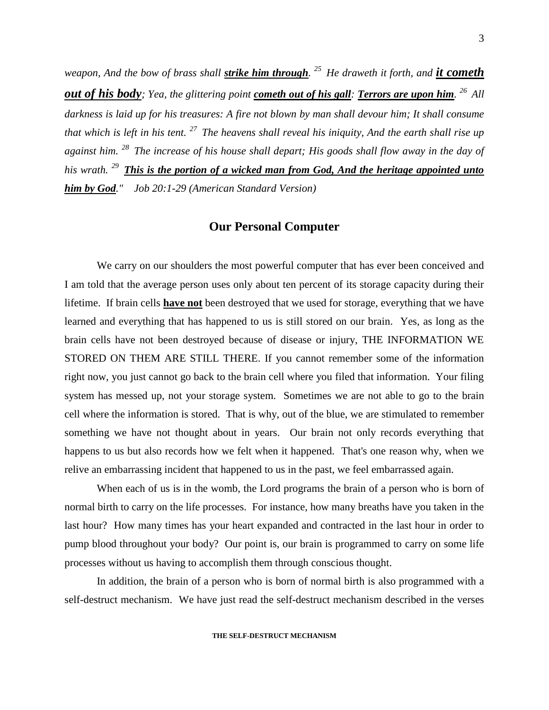*weapon, And the bow of brass shall strike him through. <sup>25</sup>He draweth it forth, and it cometh out of his body; Yea, the glittering point cometh out of his gall: Terrors are upon him. <sup>26</sup>All darkness is laid up for his treasures: A fire not blown by man shall devour him; It shall consume that which is left in his tent. <sup>27</sup>The heavens shall reveal his iniquity, And the earth shall rise up against him. <sup>28</sup>The increase of his house shall depart; His goods shall flow away in the day of his wrath. <sup>29</sup>This is the portion of a wicked man from God, And the heritage appointed unto him by God." Job 20:1-29 (American Standard Version)*

#### **Our Personal Computer**

We carry on our shoulders the most powerful computer that has ever been conceived and I am told that the average person uses only about ten percent of its storage capacity during their lifetime. If brain cells **have not** been destroyed that we used for storage, everything that we have learned and everything that has happened to us is still stored on our brain. Yes, as long as the brain cells have not been destroyed because of disease or injury, THE INFORMATION WE STORED ON THEM ARE STILL THERE. If you cannot remember some of the information right now, you just cannot go back to the brain cell where you filed that information. Your filing system has messed up, not your storage system. Sometimes we are not able to go to the brain cell where the information is stored. That is why, out of the blue, we are stimulated to remember something we have not thought about in years. Our brain not only records everything that happens to us but also records how we felt when it happened. That's one reason why, when we relive an embarrassing incident that happened to us in the past, we feel embarrassed again.

When each of us is in the womb, the Lord programs the brain of a person who is born of normal birth to carry on the life processes. For instance, how many breaths have you taken in the last hour? How many times has your heart expanded and contracted in the last hour in order to pump blood throughout your body? Our point is, our brain is programmed to carry on some life processes without us having to accomplish them through conscious thought.

In addition, the brain of a person who is born of normal birth is also programmed with a self-destruct mechanism. We have just read the self-destruct mechanism described in the verses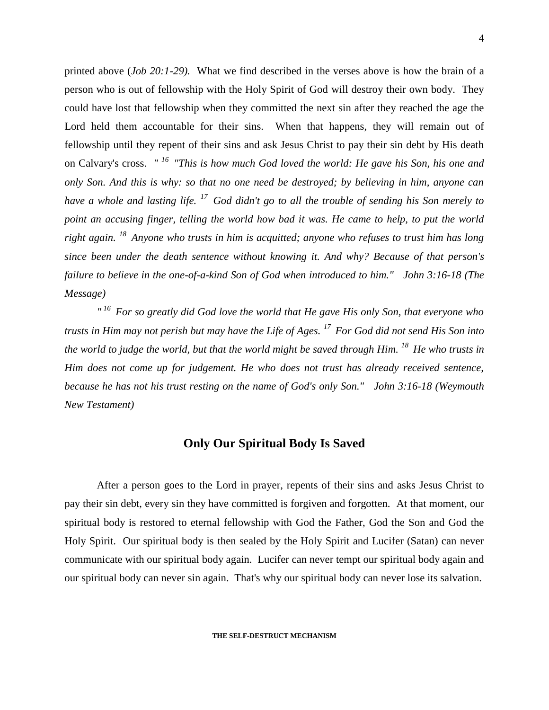printed above (*Job 20:1-29).* What we find described in the verses above is how the brain of a person who is out of fellowship with the Holy Spirit of God will destroy their own body. They could have lost that fellowship when they committed the next sin after they reached the age the Lord held them accountable for their sins. When that happens, they will remain out of fellowship until they repent of their sins and ask Jesus Christ to pay their sin debt by His death on Calvary's cross. *" <sup>16</sup>"This is how much God loved the world: He gave his Son, his one and only Son. And this is why: so that no one need be destroyed; by believing in him, anyone can have a whole and lasting life. <sup>17</sup>God didn't go to all the trouble of sending his Son merely to point an accusing finger, telling the world how bad it was. He came to help, to put the world right again. <sup>18</sup>Anyone who trusts in him is acquitted; anyone who refuses to trust him has long since been under the death sentence without knowing it. And why? Because of that person's failure to believe in the one-of-a-kind Son of God when introduced to him." John 3:16-18 (The Message)*

*" <sup>16</sup>For so greatly did God love the world that He gave His only Son, that everyone who trusts in Him may not perish but may have the Life of Ages. <sup>17</sup>For God did not send His Son into the world to judge the world, but that the world might be saved through Him. <sup>18</sup>He who trusts in Him does not come up for judgement. He who does not trust has already received sentence, because he has not his trust resting on the name of God's only Son." John 3:16-18 (Weymouth New Testament)*

#### **Only Our Spiritual Body Is Saved**

After a person goes to the Lord in prayer, repents of their sins and asks Jesus Christ to pay their sin debt, every sin they have committed is forgiven and forgotten. At that moment, our spiritual body is restored to eternal fellowship with God the Father, God the Son and God the Holy Spirit. Our spiritual body is then sealed by the Holy Spirit and Lucifer (Satan) can never communicate with our spiritual body again. Lucifer can never tempt our spiritual body again and our spiritual body can never sin again. That's why our spiritual body can never lose its salvation.

**THE SELF-DESTRUCT MECHANISM**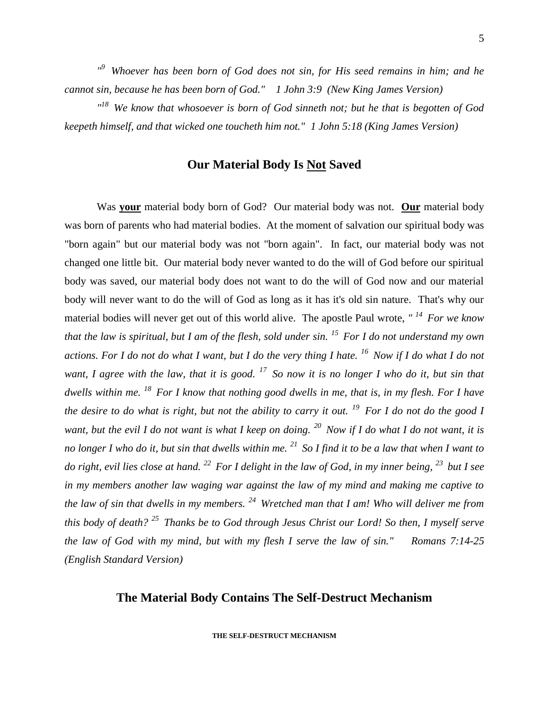<sup>19</sup> Whoever has been born of God does not sin, for His seed remains in him; and he *cannot sin, because he has been born of God." 1 John 3:9 (New King James Version)* 

*" <sup>18</sup>We know that whosoever is born of God sinneth not; but he that is begotten of God keepeth himself, and that wicked one toucheth him not." 1 John 5:18 (King James Version)* 

## **Our Material Body Is Not Saved**

Was **your** material body born of God? Our material body was not. **Our** material body was born of parents who had material bodies. At the moment of salvation our spiritual body was "born again" but our material body was not "born again". In fact, our material body was not changed one little bit. Our material body never wanted to do the will of God before our spiritual body was saved, our material body does not want to do the will of God now and our material body will never want to do the will of God as long as it has it's old sin nature. That's why our material bodies will never get out of this world alive. The apostle Paul wrote, *" <sup>14</sup>For we know that the law is spiritual, but I am of the flesh, sold under sin. <sup>15</sup>For I do not understand my own actions. For I do not do what I want, but I do the very thing I hate. <sup>16</sup>Now if I do what I do not want, I agree with the law, that it is good. <sup>17</sup>So now it is no longer I who do it, but sin that dwells within me. <sup>18</sup>For I know that nothing good dwells in me, that is, in my flesh. For I have the desire to do what is right, but not the ability to carry it out. <sup>19</sup>For I do not do the good I want, but the evil I do not want is what I keep on doing. <sup>20</sup>Now if I do what I do not want, it is no longer I who do it, but sin that dwells within me. <sup>21</sup>So I find it to be a law that when I want to do right, evil lies close at hand. <sup>22</sup>For I delight in the law of God, in my inner being, <sup>23</sup>but I see in my members another law waging war against the law of my mind and making me captive to the law of sin that dwells in my members. <sup>24</sup>Wretched man that I am! Who will deliver me from this body of death? <sup>25</sup>Thanks be to God through Jesus Christ our Lord! So then, I myself serve the law of God with my mind, but with my flesh I serve the law of sin." Romans 7:14-25 (English Standard Version)*

### **The Material Body Contains The Self-Destruct Mechanism**

**THE SELF-DESTRUCT MECHANISM**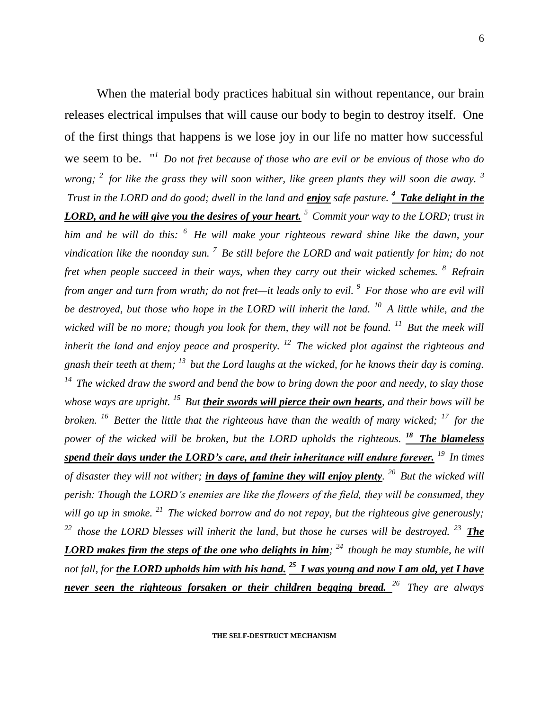When the material body practices habitual sin without repentance, our brain releases electrical impulses that will cause our body to begin to destroy itself. One of the first things that happens is we lose joy in our life no matter how successful we seem to be. " *<sup>1</sup>Do not fret because of those who are evil or be envious of those who do wrong; <sup>2</sup>for like the grass they will soon wither, like green plants they will soon die away. <sup>3</sup> Trust in the LORD and do good; dwell in the land and enjoy safe pasture. <sup>4</sup>Take delight in the LORD, and he will give you the desires of your heart. <sup>5</sup>Commit your way to the LORD; trust in him and he will do this: <sup>6</sup>He will make your righteous reward shine like the dawn, your vindication like the noonday sun. <sup>7</sup>Be still before the LORD and wait patiently for him; do not fret when people succeed in their ways, when they carry out their wicked schemes. <sup>8</sup>Refrain from anger and turn from wrath; do not fret—it leads only to evil. <sup>9</sup>For those who are evil will be destroyed, but those who hope in the LORD will inherit the land. <sup>10</sup>A little while, and the wicked will be no more; though you look for them, they will not be found.* <sup>11</sup> But the meek will *inherit the land and enjoy peace and prosperity. <sup>12</sup>The wicked plot against the righteous and gnash their teeth at them; <sup>13</sup>but the Lord laughs at the wicked, for he knows their day is coming. <sup>14</sup>The wicked draw the sword and bend the bow to bring down the poor and needy, to slay those whose ways are upright. <sup>15</sup>But their swords will pierce their own hearts, and their bows will be broken. <sup>16</sup>Better the little that the righteous have than the wealth of many wicked; <sup>17</sup>for the power of the wicked will be broken, but the LORD upholds the righteous. <sup>18</sup>The blameless spend their days under the LORD's care, and their inheritance will endure forever. <sup>19</sup>In times of disaster they will not wither; in days of famine they will enjoy plenty. <sup>20</sup>But the wicked will perish: Though the LORD's enemies are like the flowers of the field, they will be consumed, they will go up in smoke. <sup>21</sup>The wicked borrow and do not repay, but the righteous give generously; <sup>22</sup>those the LORD blesses will inherit the land, but those he curses will be destroyed. <sup>23</sup>The LORD makes firm the steps of the one who delights in him; <sup>24</sup>though he may stumble, he will not fall, for the LORD upholds him with his hand. <sup>25</sup>I was young and now I am old, yet I have never seen the righteous forsaken or their children begging bread. <sup>26</sup>They are always*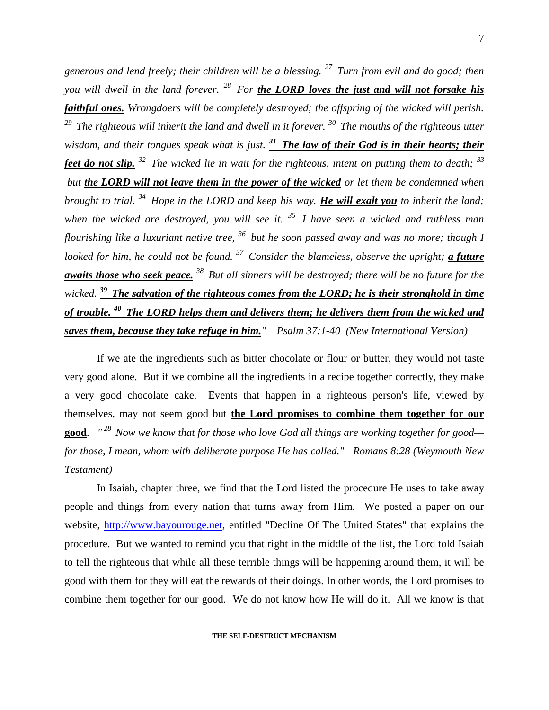*generous and lend freely; their children will be a blessing. <sup>27</sup>Turn from evil and do good; then you will dwell in the land forever. <sup>28</sup>For the LORD loves the just and will not forsake his faithful ones. Wrongdoers will be completely destroyed; the offspring of the wicked will perish. <sup>29</sup> The righteous will inherit the land and dwell in it forever. <sup>30</sup>The mouths of the righteous utter wisdom, and their tongues speak what is just. <sup>31</sup>The law of their God is in their hearts; their feet do not slip. <sup>32</sup>The wicked lie in wait for the righteous, intent on putting them to death; <sup>33</sup> but the LORD will not leave them in the power of the wicked or let them be condemned when brought to trial. <sup>34</sup>Hope in the LORD and keep his way. He will exalt you to inherit the land; when the wicked are destroyed, you will see it. <sup>35</sup>I have seen a wicked and ruthless man flourishing like a luxuriant native tree, <sup>36</sup>but he soon passed away and was no more; though I looked for him, he could not be found. <sup>37</sup>Consider the blameless, observe the upright; a future awaits those who seek peace. <sup>38</sup>But all sinners will be destroyed; there will be no future for the wicked. <sup>39</sup>The salvation of the righteous comes from the LORD; he is their stronghold in time of trouble. <sup>40</sup>The LORD helps them and delivers them; he delivers them from the wicked and saves them, because they take refuge in him." Psalm 37:1-40 (New International Version)* 

If we ate the ingredients such as bitter chocolate or flour or butter, they would not taste very good alone. But if we combine all the ingredients in a recipe together correctly, they make a very good chocolate cake. Events that happen in a righteous person's life, viewed by themselves, may not seem good but **the Lord promises to combine them together for our good**. *" <sup>28</sup>Now we know that for those who love God all things are working together for good for those, I mean, whom with deliberate purpose He has called." Romans 8:28 (Weymouth New Testament)*

In Isaiah, chapter three*,* we find that the Lord listed the procedure He uses to take away people and things from every nation that turns away from Him. We posted a paper on our website, [http://www.bayourouge.net,](http://www.bayourouge.net/) entitled "Decline Of The United States" that explains the procedure. But we wanted to remind you that right in the middle of the list, the Lord told Isaiah to tell the righteous that while all these terrible things will be happening around them, it will be good with them for they will eat the rewards of their doings. In other words, the Lord promises to combine them together for our good. We do not know how He will do it. All we know is that